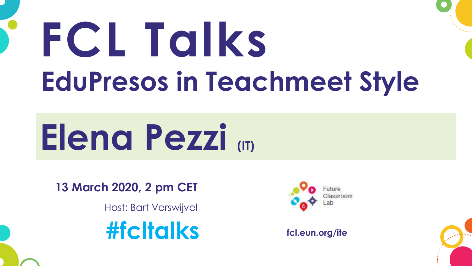# **FCL Talks EduPresos in Teachmeet Style**

## **Elena Pezzi (IT)**

**13 March 2020, 2 pm CET**

Host: Bart Verswijvel





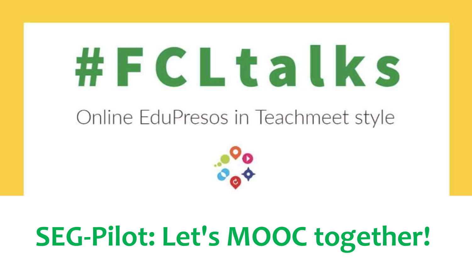# #FCLtalks

#### Online EduPresos in Teachmeet style



## **SEG-Pilot: Let's MOOC together!**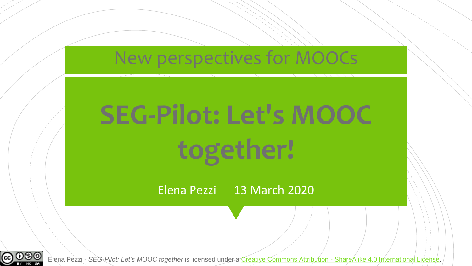#### New perspectives for MOOCs

## **SEG-Pilot: Let's MOOC together!**

Elena Pezzi 13 March 2020



Elena Pezzi - *SEG-Pilot: Let's MOOC together* is licensed under a Creative Commons Attribution - [ShareAlike 4.0 International License](https://creativecommons.org/licenses/by-sa/4.0/).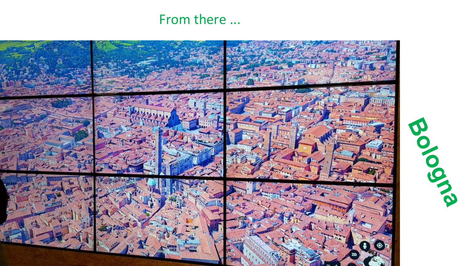#### From there ...

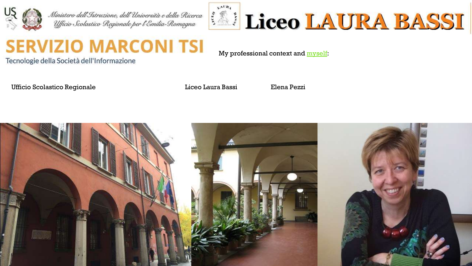

Ministero dell'Istruzione, dell'Università e della Ricerca Ufficio Scolastico Regionale per l'Emilia-Romagna



#### **SERVIZIO MARCONI TSI**

Tecnologie della Società dell'Informazione

Ufficio Scolastico Regionale and Liceo Laura Bassi Elena Pezzi

My professional context and [myself:](https://sites.google.com/laurabassi.istruzioneer.it/sbcs/home?authuser=0)

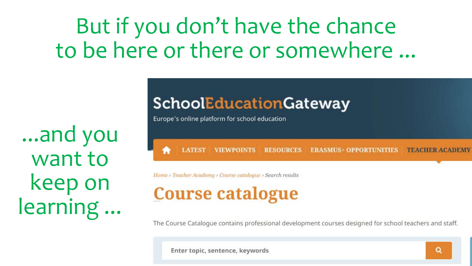### But if you don't have the chance to be here or there or somewhere ...

...and you want to keep on learning ...

#### **SchoolEducationGateway**

Europe's online platform for school education

**ERASMUS+ OPPORTUNITIES RESOURCES TEACHER ACADEMY** 

Home > Teacher Academy > Course catalogue > Search results

#### **Course catalogue**

The Course Catalogue contains professional development courses designed for school teachers and staff.

Enter topic, sentence, keywords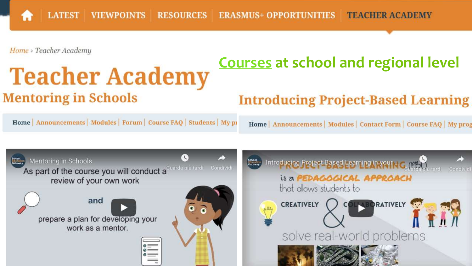Home > Teacher Academy

#### **Teacher Academy Mentoring in Schools**

#### Home | Announcements | Modules | Forum | Course FAQ | Students | My pr

#### **Courses at school and regional level**

**Introducing Project-Based Learning** 

Home | Announcements | Modules | Contact Form | Course FAQ | My prog

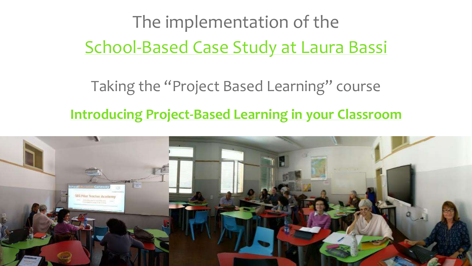The implementation of the [School-Based Case Study at Laura Bassi](https://sites.google.com/laurabassi.istruzioneer.it/sbcs/home/the-course-laura-bassi?authuser=0)

Taking the "Project Based Learning" course **[Introducing Project-Based Learning in your Classroom](https://www.schooleducationgateway.eu/it/pub/teacher_academy/catalogue/detail.cfm?cbmid=10860)**

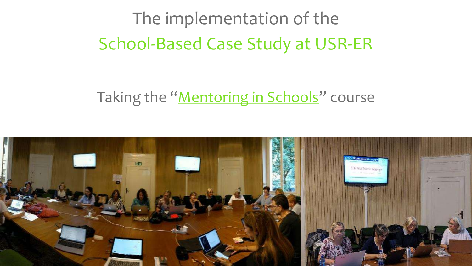The implementation of the [School-Based Case Study at USR-ER](https://sites.google.com/laurabassi.istruzioneer.it/sbcs/home/the-course-usr?authuser=0)

#### Taking the "[Mentoring in Schools](https://academy.schooleducationgateway.eu/web/1626156?utm_medium=internal)" course

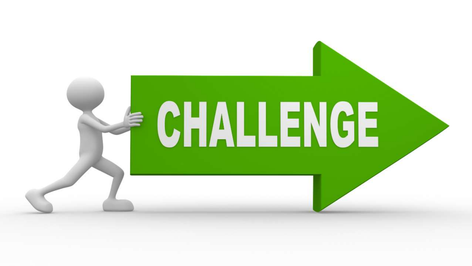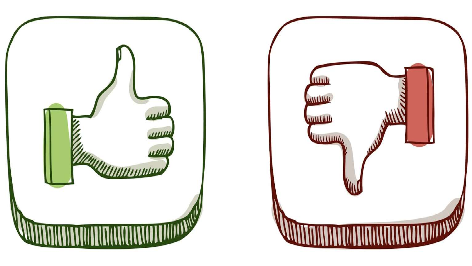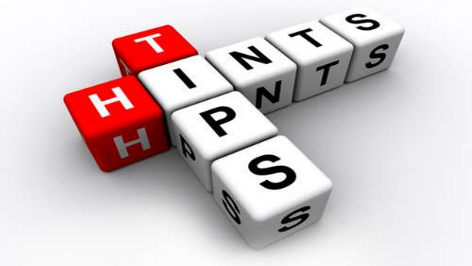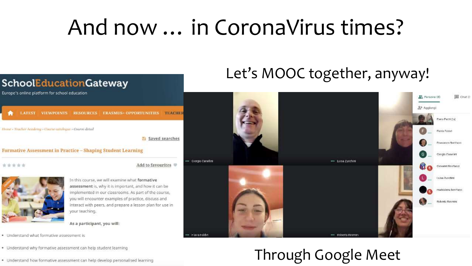### And now ... in CoronaVirus times?



interact with peers, and prepare a lesson plan for use in

#### Let's MOOC together, anyway!



#### Through Google Meet

#### . Understand what formative assessment is

- . Understand why formative assessment can help student learning
- \* Understand how formative assessment can help develop personalised learning

your teaching.

As a participant, you will: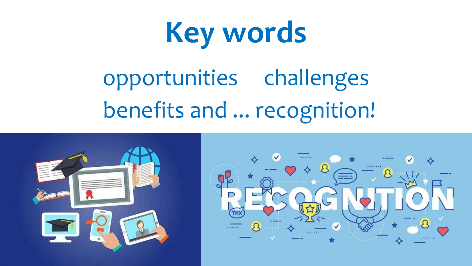

## opportunities challenges benefits and ... recognition!